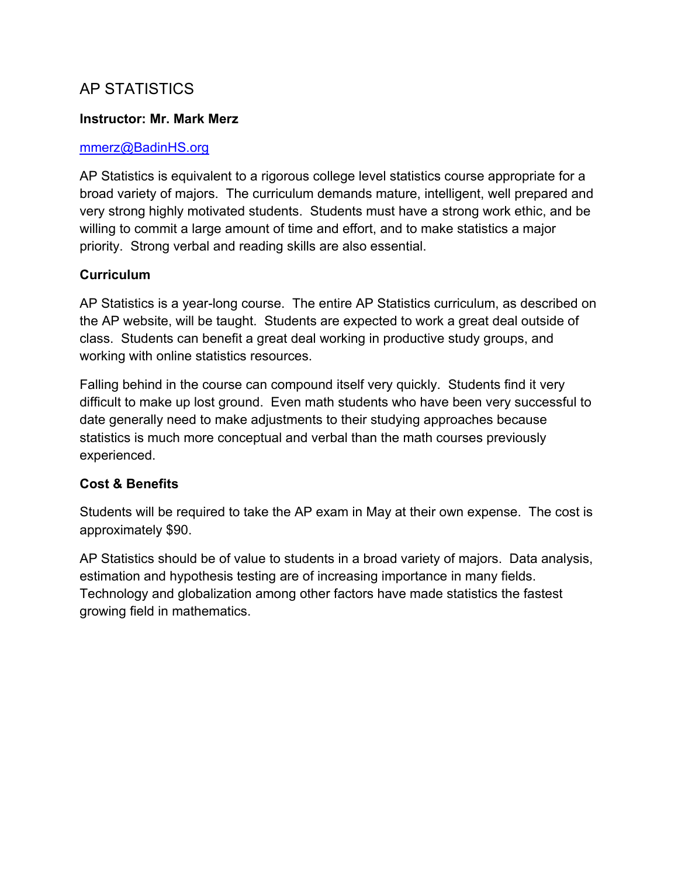## AP STATISTICS

### **Instructor: Mr. Mark Merz**

#### mmerz@BadinHS.org

AP Statistics is equivalent to a rigorous college level statistics course appropriate for a broad variety of majors. The curriculum demands mature, intelligent, well prepared and very strong highly motivated students. Students must have a strong work ethic, and be willing to commit a large amount of time and effort, and to make statistics a major priority. Strong verbal and reading skills are also essential.

### **Curriculum**

AP Statistics is a year-long course. The entire AP Statistics curriculum, as described on the AP website, will be taught. Students are expected to work a great deal outside of class. Students can benefit a great deal working in productive study groups, and working with online statistics resources.

Falling behind in the course can compound itself very quickly. Students find it very difficult to make up lost ground. Even math students who have been very successful to date generally need to make adjustments to their studying approaches because statistics is much more conceptual and verbal than the math courses previously experienced.

#### **Cost & Benefits**

Students will be required to take the AP exam in May at their own expense. The cost is approximately \$90.

AP Statistics should be of value to students in a broad variety of majors. Data analysis, estimation and hypothesis testing are of increasing importance in many fields. Technology and globalization among other factors have made statistics the fastest growing field in mathematics.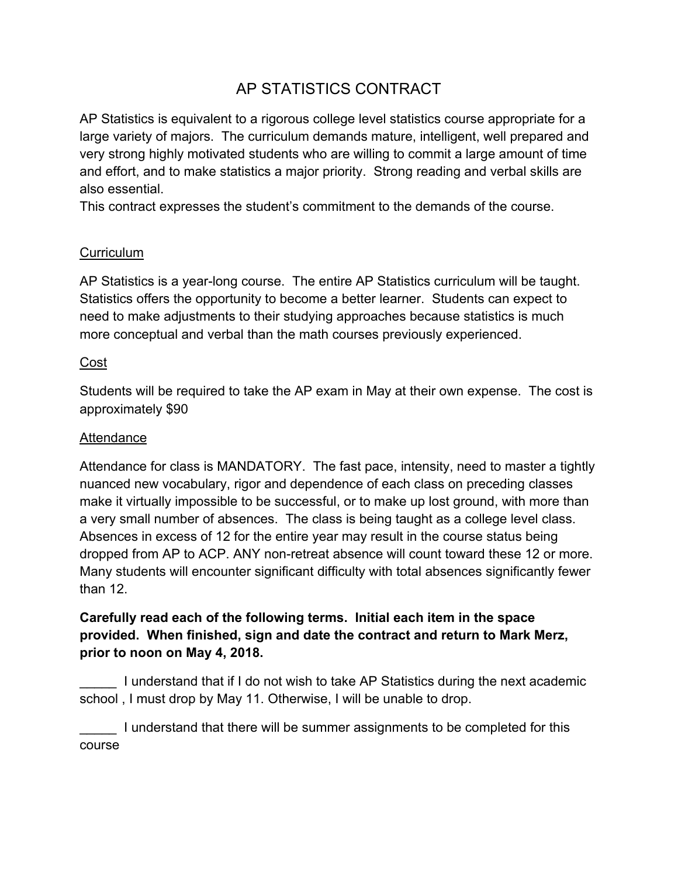# AP STATISTICS CONTRACT

AP Statistics is equivalent to a rigorous college level statistics course appropriate for a large variety of majors. The curriculum demands mature, intelligent, well prepared and very strong highly motivated students who are willing to commit a large amount of time and effort, and to make statistics a major priority. Strong reading and verbal skills are also essential.

This contract expresses the student's commitment to the demands of the course.

### **Curriculum**

AP Statistics is a year-long course. The entire AP Statistics curriculum will be taught. Statistics offers the opportunity to become a better learner. Students can expect to need to make adjustments to their studying approaches because statistics is much more conceptual and verbal than the math courses previously experienced.

### Cost

Students will be required to take the AP exam in May at their own expense. The cost is approximately \$90

## **Attendance**

Attendance for class is MANDATORY. The fast pace, intensity, need to master a tightly nuanced new vocabulary, rigor and dependence of each class on preceding classes make it virtually impossible to be successful, or to make up lost ground, with more than a very small number of absences. The class is being taught as a college level class. Absences in excess of 12 for the entire year may result in the course status being dropped from AP to ACP. ANY non-retreat absence will count toward these 12 or more. Many students will encounter significant difficulty with total absences significantly fewer than 12.

## **Carefully read each of the following terms. Initial each item in the space provided. When finished, sign and date the contract and return to Mark Merz, prior to noon on May 4, 2018.**

I understand that if I do not wish to take AP Statistics during the next academic school , I must drop by May 11. Otherwise, I will be unable to drop.

\_\_\_\_\_ I understand that there will be summer assignments to be completed for this course